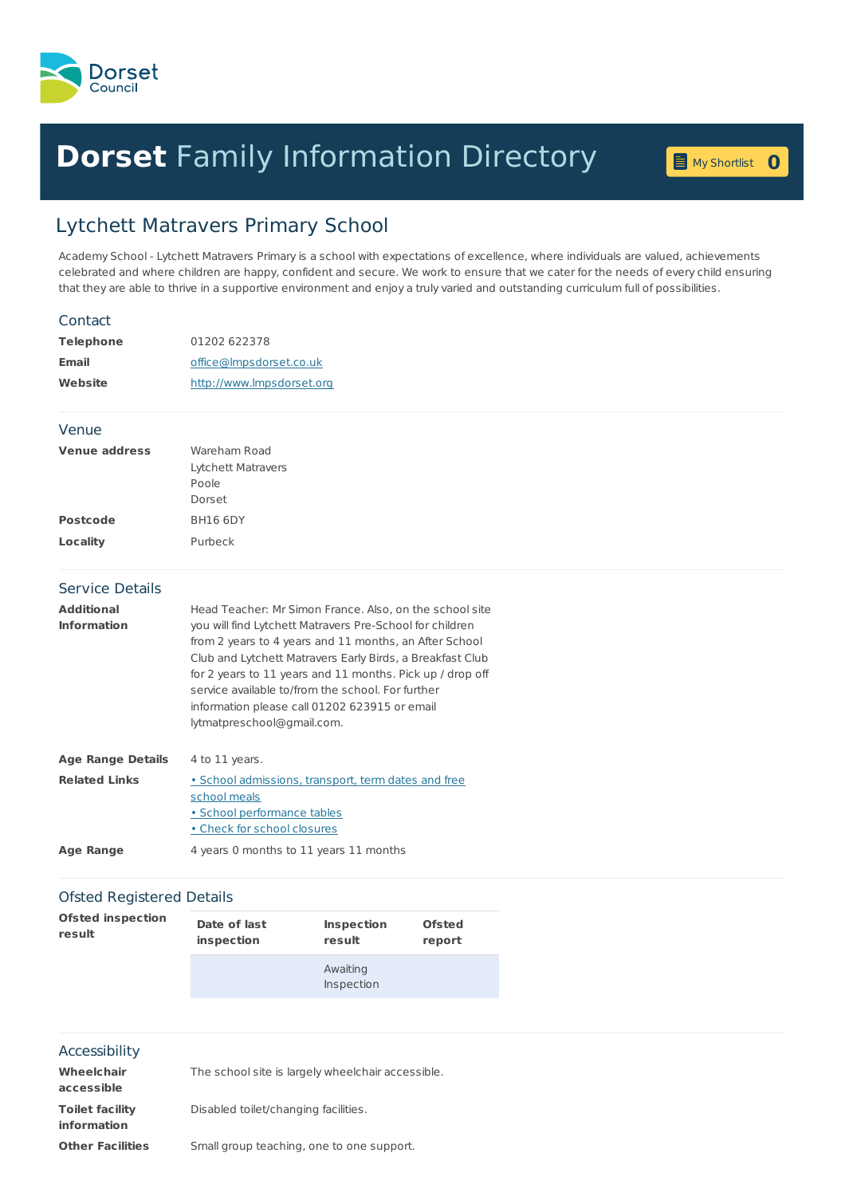

## **Dorset** Family [Information](home.page) Directory **<sup>0</sup>**

My [Shortlist](shortlist.page) 0

## Lytchett Matravers Primary School

Academy School - Lytchett Matravers Primary is a school with expectations of excellence, where individuals are valued, achievements celebrated and where children are happy, confident and secure. We work to ensure that we cater for the needs of every child ensuring that they are able to thrive in a supportive environment and enjoy a truly varied and outstanding curriculum full of possibilities.

| Contact                                 |                                                                                                                                                                                                                                                                                                                                                                                                                                             |
|-----------------------------------------|---------------------------------------------------------------------------------------------------------------------------------------------------------------------------------------------------------------------------------------------------------------------------------------------------------------------------------------------------------------------------------------------------------------------------------------------|
| <b>Telephone</b>                        | 01202 622378                                                                                                                                                                                                                                                                                                                                                                                                                                |
| <b>Email</b>                            | office@Impsdorset.co.uk                                                                                                                                                                                                                                                                                                                                                                                                                     |
| Website                                 | http://www.lmpsdorset.org                                                                                                                                                                                                                                                                                                                                                                                                                   |
| Venue                                   |                                                                                                                                                                                                                                                                                                                                                                                                                                             |
| <b>Venue address</b>                    | Wareham Road<br><b>Lytchett Matravers</b><br>Poole<br>Dorset                                                                                                                                                                                                                                                                                                                                                                                |
| <b>Postcode</b>                         | <b>BH16 6DY</b>                                                                                                                                                                                                                                                                                                                                                                                                                             |
| Locality                                | Purbeck                                                                                                                                                                                                                                                                                                                                                                                                                                     |
| <b>Service Details</b>                  |                                                                                                                                                                                                                                                                                                                                                                                                                                             |
| <b>Additional</b><br><b>Information</b> | Head Teacher: Mr Simon France. Also, on the school site<br>you will find Lytchett Matravers Pre-School for children<br>from 2 years to 4 years and 11 months, an After School<br>Club and Lytchett Matravers Early Birds, a Breakfast Club<br>for 2 years to 11 years and 11 months. Pick up / drop off<br>service available to/from the school. For further<br>information please call 01202 623915 or email<br>lytmatpreschool@gmail.com. |
| <b>Age Range Details</b>                | 4 to 11 years.                                                                                                                                                                                                                                                                                                                                                                                                                              |
| <b>Related Links</b>                    | · School admissions, transport, term dates and free<br>school meals<br>· School performance tables<br>• Check for school closures                                                                                                                                                                                                                                                                                                           |
| <b>Age Range</b>                        | 4 years 0 months to 11 years 11 months                                                                                                                                                                                                                                                                                                                                                                                                      |
| <b>Ofsted Registered Details</b>        |                                                                                                                                                                                                                                                                                                                                                                                                                                             |
| Ofetad inenaction                       |                                                                                                                                                                                                                                                                                                                                                                                                                                             |

| <b>Ofsted inspection</b> | Date of last | <b>Inspection</b>      | <b>Ofsted</b> |
|--------------------------|--------------|------------------------|---------------|
| result                   | inspection   | result                 | report        |
|                          |              | Awaiting<br>Inspection |               |

## Accessibility

| Wheelchair<br>accessible                     | The school site is largely wheelchair accessible. |
|----------------------------------------------|---------------------------------------------------|
| <b>Toilet facility</b><br><b>information</b> | Disabled toilet/changing facilities.              |
| <b>Other Facilities</b>                      | Small group teaching, one to one support.         |